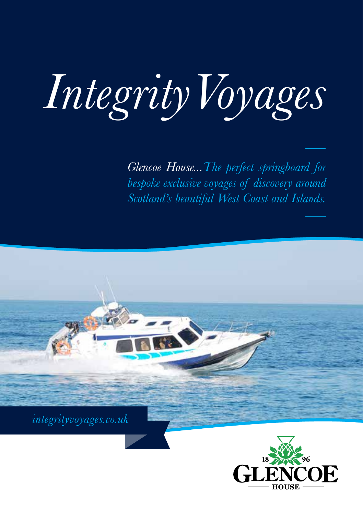## *IntegrityVoyages*

*Glencoe House...The perfect springboard for bespoke exclusive voyages of discovery around Scotland's beautiful West Coast and Islands.*

*integrityvoyages.co.uk*